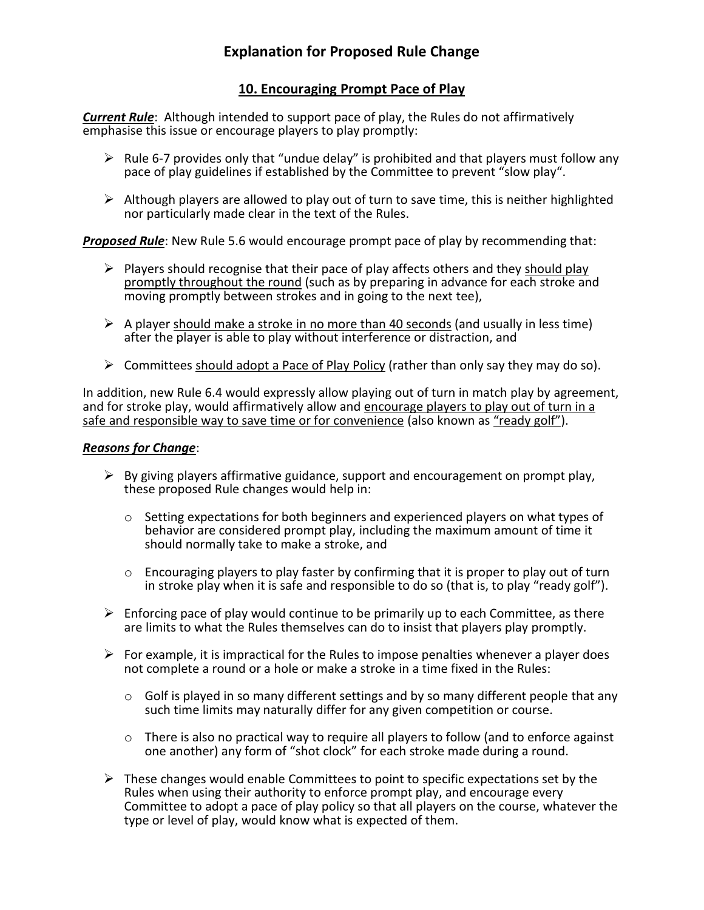## **10. Encouraging Prompt Pace of Play**

*Current Rule*: Although intended to support pace of play, the Rules do not affirmatively emphasise this issue or encourage players to play promptly:

- $\triangleright$  Rule 6-7 provides only that "undue delay" is prohibited and that players must follow any pace of play guidelines if established by the Committee to prevent "slow play".
- $\triangleright$  Although players are allowed to play out of turn to save time, this is neither highlighted nor particularly made clear in the text of the Rules.

*Proposed Rule*: New Rule 5.6 would encourage prompt pace of play by recommending that:

- $\triangleright$  Players should recognise that their pace of play affects others and they should play promptly throughout the round (such as by preparing in advance for each stroke and moving promptly between strokes and in going to the next tee),
- $\triangleright$  A player should make a stroke in no more than 40 seconds (and usually in less time) after the player is able to play without interference or distraction, and
- $\triangleright$  Committees should adopt a Pace of Play Policy (rather than only say they may do so).

In addition, new Rule 6.4 would expressly allow playing out of turn in match play by agreement, and for stroke play, would affirmatively allow and encourage players to play out of turn in a safe and responsible way to save time or for convenience (also known as "ready golf").

## *Reasons for Change*:

- $\triangleright$  By giving players affirmative guidance, support and encouragement on prompt play, these proposed Rule changes would help in:
	- $\circ$  Setting expectations for both beginners and experienced players on what types of behavior are considered prompt play, including the maximum amount of time it should normally take to make a stroke, and
	- $\circ$  Encouraging players to play faster by confirming that it is proper to play out of turn in stroke play when it is safe and responsible to do so (that is, to play "ready golf").
- $\triangleright$  Enforcing pace of play would continue to be primarily up to each Committee, as there are limits to what the Rules themselves can do to insist that players play promptly.
- $\triangleright$  For example, it is impractical for the Rules to impose penalties whenever a player does not complete a round or a hole or make a stroke in a time fixed in the Rules:
	- $\circ$  Golf is played in so many different settings and by so many different people that any such time limits may naturally differ for any given competition or course.
	- $\circ$  There is also no practical way to require all players to follow (and to enforce against one another) any form of "shot clock" for each stroke made during a round.
- $\triangleright$  These changes would enable Committees to point to specific expectations set by the Rules when using their authority to enforce prompt play, and encourage every Committee to adopt a pace of play policy so that all players on the course, whatever the type or level of play, would know what is expected of them.